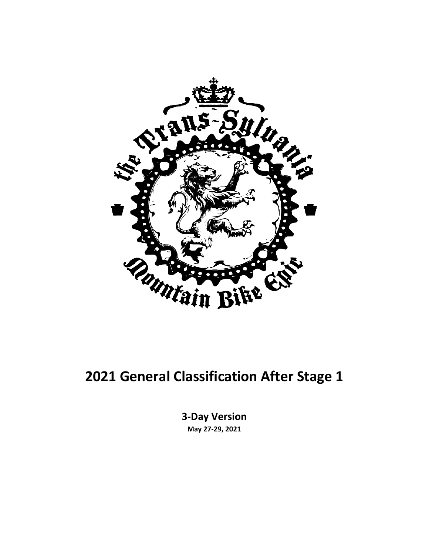

#### **2021 General Classification After Stage 1**

**3-Day Version May 27-29, 2021**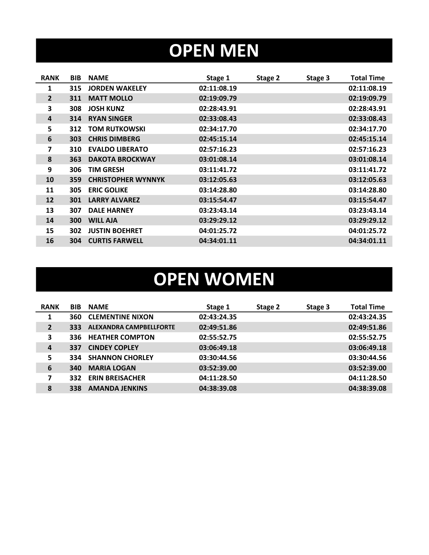### **OPEN MEN**

| <b>RANK</b>             | <b>BIB</b> | <b>NAME</b>               | Stage 1     | Stage 2 | Stage 3 | <b>Total Time</b> |
|-------------------------|------------|---------------------------|-------------|---------|---------|-------------------|
| 1                       | 315        | <b>JORDEN WAKELEY</b>     | 02:11:08.19 |         |         | 02:11:08.19       |
| $2^{\circ}$             | 311        | <b>MATT MOLLO</b>         | 02:19:09.79 |         |         | 02:19:09.79       |
| 3                       | 308        | <b>JOSH KUNZ</b>          | 02:28:43.91 |         |         | 02:28:43.91       |
| 4                       | 314        | <b>RYAN SINGER</b>        | 02:33:08.43 |         |         | 02:33:08.43       |
| 5                       | 312        | <b>TOM RUTKOWSKI</b>      | 02:34:17.70 |         |         | 02:34:17.70       |
| 6                       | 303        | <b>CHRIS DIMBERG</b>      | 02:45:15.14 |         |         | 02:45:15.14       |
| $\overline{\mathbf{z}}$ | 310        | <b>EVALDO LIBERATO</b>    | 02:57:16.23 |         |         | 02:57:16.23       |
| 8                       | 363        | <b>DAKOTA BROCKWAY</b>    | 03:01:08.14 |         |         | 03:01:08.14       |
| 9                       | 306        | <b>TIM GRESH</b>          | 03:11:41.72 |         |         | 03:11:41.72       |
| 10                      | 359        | <b>CHRISTOPHER WYNNYK</b> | 03:12:05.63 |         |         | 03:12:05.63       |
| 11                      | 305        | <b>ERIC GOLIKE</b>        | 03:14:28.80 |         |         | 03:14:28.80       |
| 12                      | 301        | <b>LARRY ALVAREZ</b>      | 03:15:54.47 |         |         | 03:15:54.47       |
| 13                      | 307        | <b>DALE HARNEY</b>        | 03:23:43.14 |         |         | 03:23:43.14       |
| 14                      | 300        | <b>WILL AJA</b>           | 03:29:29.12 |         |         | 03:29:29.12       |
| 15                      | 302        | <b>JUSTIN BOEHRET</b>     | 04:01:25.72 |         |         | 04:01:25.72       |
| 16                      | 304        | <b>CURTIS FARWELL</b>     | 04:34:01.11 |         |         | 04:34:01.11       |

# **OPEN WOMEN**

| <b>RANK</b>             | <b>BIB</b> | <b>NAME</b>                    | Stage 1     | Stage 2 | Stage 3 | <b>Total Time</b> |
|-------------------------|------------|--------------------------------|-------------|---------|---------|-------------------|
| 1                       | 360        | <b>CLEMENTINE NIXON</b>        | 02:43:24.35 |         |         | 02:43:24.35       |
| $\overline{2}$          | 333        | <b>ALEXANDRA CAMPBELLFORTE</b> | 02:49:51.86 |         |         | 02:49:51.86       |
| 3                       | 336        | <b>HEATHER COMPTON</b>         | 02:55:52.75 |         |         | 02:55:52.75       |
| 4                       | 337        | <b>CINDEY COPLEY</b>           | 03:06:49.18 |         |         | 03:06:49.18       |
| 5                       | 334        | <b>SHANNON CHORLEY</b>         | 03:30:44.56 |         |         | 03:30:44.56       |
| 6                       | 340        | <b>MARIA LOGAN</b>             | 03:52:39.00 |         |         | 03:52:39.00       |
| $\overline{\mathbf{z}}$ | 332        | <b>ERIN BREISACHER</b>         | 04:11:28.50 |         |         | 04:11:28.50       |
| 8                       | 338        | <b>AMANDA JENKINS</b>          | 04:38:39.08 |         |         | 04:38:39.08       |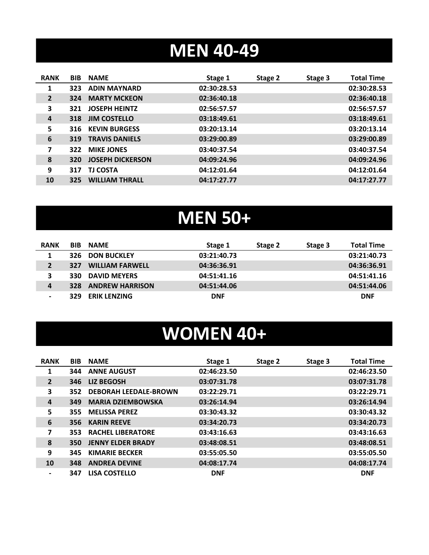#### **MEN 40-49**

| <b>BIB</b> | <b>NAME</b>             | Stage 1     | Stage 2 | Stage 3 | <b>Total Time</b> |
|------------|-------------------------|-------------|---------|---------|-------------------|
| 323        | <b>ADIN MAYNARD</b>     | 02:30:28.53 |         |         | 02:30:28.53       |
| 324        | <b>MARTY MCKEON</b>     | 02:36:40.18 |         |         | 02:36:40.18       |
| 321        | <b>JOSEPH HEINTZ</b>    | 02:56:57.57 |         |         | 02:56:57.57       |
| 318        | <b>JIM COSTELLO</b>     | 03:18:49.61 |         |         | 03:18:49.61       |
| 316        | <b>KEVIN BURGESS</b>    | 03:20:13.14 |         |         | 03:20:13.14       |
| 319        | <b>TRAVIS DANIELS</b>   | 03:29:00.89 |         |         | 03:29:00.89       |
| 322        | <b>MIKE JONES</b>       | 03:40:37.54 |         |         | 03:40:37.54       |
| <b>320</b> | <b>JOSEPH DICKERSON</b> | 04:09:24.96 |         |         | 04:09:24.96       |
| 317        | <b>TJ COSTA</b>         | 04:12:01.64 |         |         | 04:12:01.64       |
| 325        | <b>WILLIAM THRALL</b>   | 04:17:27.77 |         |         | 04:17:27.77       |
|            |                         |             |         |         |                   |

# **MEN 50+**

| <b>RANK</b>    | <b>BIB</b> | <b>NAME</b>            | Stage 1     | Stage 2 | Stage 3 | <b>Total Time</b> |
|----------------|------------|------------------------|-------------|---------|---------|-------------------|
| 1              | 326        | <b>DON BUCKLEY</b>     | 03:21:40.73 |         |         | 03:21:40.73       |
| $\overline{2}$ | 327        | <b>WILLIAM FARWELL</b> | 04:36:36.91 |         |         | 04:36:36.91       |
| 3              | 330        | <b>DAVID MEYERS</b>    | 04:51:41.16 |         |         | 04:51:41.16       |
| 4              | 328        | <b>ANDREW HARRISON</b> | 04:51:44.06 |         |         | 04:51:44.06       |
| $\blacksquare$ | 329        | <b>ERIK LENZING</b>    | <b>DNF</b>  |         |         | <b>DNF</b>        |

#### **WOMEN 40+**

| <b>RANK</b>    | <b>BIB</b> | <b>NAME</b>                  | Stage 1     | Stage 2 | Stage 3 | <b>Total Time</b> |
|----------------|------------|------------------------------|-------------|---------|---------|-------------------|
| 1              | 344        | <b>ANNE AUGUST</b>           | 02:46:23.50 |         |         | 02:46:23.50       |
| $\overline{2}$ | 346        | <b>LIZ BEGOSH</b>            | 03:07:31.78 |         |         | 03:07:31.78       |
| 3              | 352        | <b>DEBORAH LEEDALE-BROWN</b> | 03:22:29.71 |         |         | 03:22:29.71       |
| 4              | 349        | <b>MARIA DZIEMBOWSKA</b>     | 03:26:14.94 |         |         | 03:26:14.94       |
| 5              | 355        | <b>MELISSA PEREZ</b>         | 03:30:43.32 |         |         | 03:30:43.32       |
| 6              | 356        | <b>KARIN REEVE</b>           | 03:34:20.73 |         |         | 03:34:20.73       |
| 7              | 353        | <b>RACHEL LIBERATORE</b>     | 03:43:16.63 |         |         | 03:43:16.63       |
| 8              | 350        | <b>JENNY ELDER BRADY</b>     | 03:48:08.51 |         |         | 03:48:08.51       |
| 9              | 345        | <b>KIMARIE BECKER</b>        | 03:55:05.50 |         |         | 03:55:05.50       |
| 10             | 348        | <b>ANDREA DEVINE</b>         | 04:08:17.74 |         |         | 04:08:17.74       |
| $\blacksquare$ | 347        | <b>LISA COSTELLO</b>         | <b>DNF</b>  |         |         | <b>DNF</b>        |